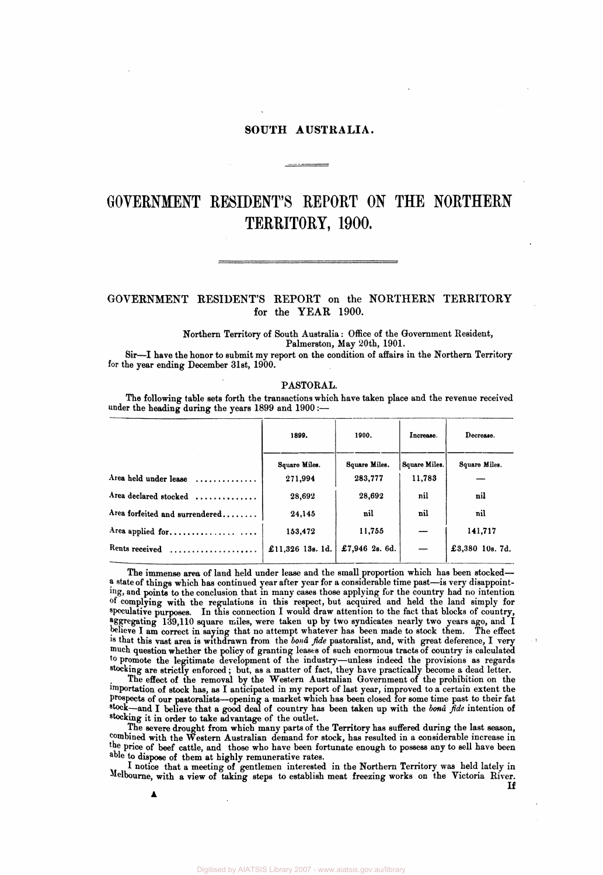# **SOUTH AUSTRALIA.**

# **GOVERNMENT RESIDENT'S REPORT ON THE NORTHERN TERRITORY, 1900.**

# GOVERNMENT RESIDENT'S REPORT on the NORTHERN TERRITORY for the YEAR 1900.

**Northern Territory of South Australia: Office of the Government Resident, Palmerston, May 20th, 1901.** 

**Sir—I have the honor to submit my report on the condition of affairs in the Northern Territory for the year ending December 31st, 1900.** 

# **PASTORAL.**

**The following table sets forth the transactions which have taken place and the revenue received under the heading during the years 1899 and 1900:—** 

|                                | 1899.            | 1900.          | Increase.     | Decrease.       |  |  |  |
|--------------------------------|------------------|----------------|---------------|-----------------|--|--|--|
|                                | Square Miles.    | Square Miles.  | Square Miles. | Square Miles.   |  |  |  |
| Area held under lease          | 271,994          | 283,777        | 11,783        |                 |  |  |  |
| Area declared stocked          | 28,692           | 28,692         | nil           | nil             |  |  |  |
| Area forfeited and surrendered | 24,145           | nil            | nil           | nil             |  |  |  |
| Area applied for               | 153,472          | 11,755         |               | 141,717         |  |  |  |
| Rents received                 | £11,326 13s. 1d. | £7,946 2s. 6d. |               | £3,380 10s. 7d. |  |  |  |
|                                |                  |                |               |                 |  |  |  |

**The immense area of land held under lease and the small proportion which has been stocked a state of things which has continued year after year for a considerable time past—is very disappointing, and points to the conclusion that in many cases those applying for the country had no intention of complying with the regulations in this respect, but acquired and held the land simply for speculative purposes. In this connection I would draw attention to the fact that blocks of country, Aggregating 139,110 square miles, were taken up by two syndicates nearly two years ago, and I believe I am correct in saying that no attempt whatever has been made to stock them. The effect is that this vast area is withdrawn from the** *bond fide* **pastoralist, and, with great deference, I very much question whether the policy of granting leases of such enormous tracts of country is calculated to promote the legitimate development of the industry—unless indeed the provisions as regards stocking are strictly enforced; but, as a matter of fact, they have practically become a dead letter.** 

**The effect of the removal by the Western Australian Government of the prohibition on the importation of stock has, as I anticipated in my report of last year, improved to a certain extent the prospects of our pastoralists—opening a market which has been closed for some time past to their fat stock—and I believe that a good deal of country has been taken up with the** *bona fide* **intention of stocking it in order to take advantage of the outlet.** 

**The severe drought from which many parts of the Territory has suffered during the last season, combined with the Western Australian demand for stock, has resulted in a considerable increase in the price of beef cattle, and those who have been fortunate enough to possess any to sell have been able to dispose of them at highly remunerative rates.** 

**I notice that a meeting of gentlemen interested in the Northern Territory was held lately in Melbourne, with a view of taking steps to establish meat freezing works on the Victoria River. If**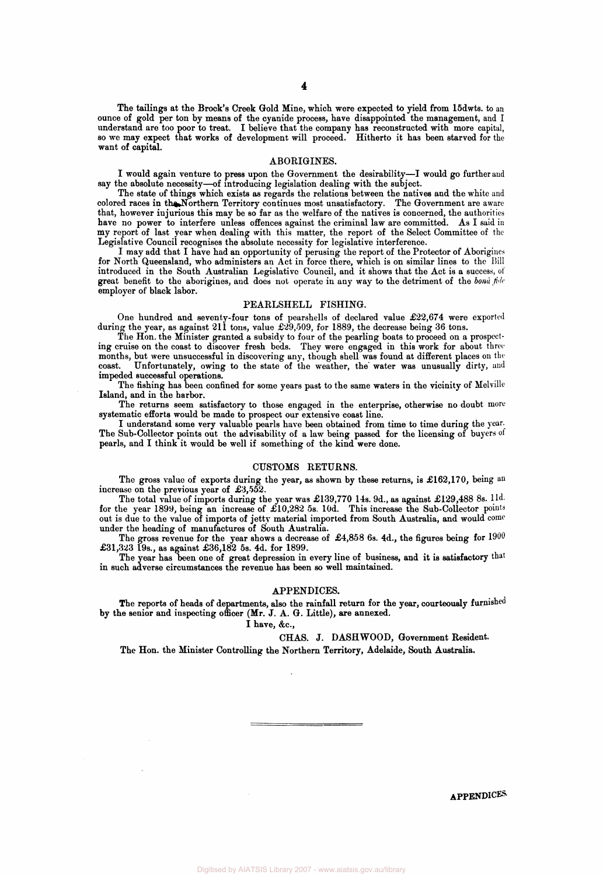**The tailings at the Brock's Creek Gold Mine, which were expected to yield from 15dwts. to an**  ounce of gold per ton by means of the cyanide process, have disappointed the management, and I **understand are too poor to treat. I believe that the company has reconstructed with more capital, so we may expect that works of development will proceed. Hitherto it has been starved for the want of capital.** 

#### **ABORIGINES.**

**I would again venture to press upon the Government the desirability—I would go further and say the absolute necessity—of introducing legislation dealing with the subject.** 

**The state of things which exists as regards the relations between the natives and the white and colored races in the Northern Territory continues most unsatisfactory. The Government are aware that, however injurious this may be so far as the welfare of the natives is concerned, the authorities**  have no power to interfere unless offences against the criminal law are committed. As I said in **my report of last year when dealing with this matter, the report of the Select Committee of the Legislative Council recognises the absolute necessity for legislative interference.** 

**I may add that I have had an opportunity of perusing the report of the Protector of Aborigines for North Queensland, who administers an Act in force there, which is on similar lines to the Bill introduced in the South Australian Legislative Council, and it shows that the Act is a success, of great benefit to the aborigines, and does not operate in any way to the detriment of the** *bond fide*  **employer of black labor.** 

### **PEARLSHELL FISHING.**

**One hundred and seventy-four tons of pearshells of declared value £22,674 were exported**  during the year, as against 211 tons, value £29,509, for 1889, the decrease being 36 tons.

**The Hon. the Minister granted a subsidy to four of the pearling boats to proceed on a prospecting cruise on the coast to discover fresh beds. They were engaged in this work for about three months, but were unsuccessful in discovering any, though shell was found at different places on the**  coast. Unfortunately, owing to the state of the weather, the water was unusually dirty, and **impeded successful operations.** 

**The fishing has been confined for some years past to the same waters in the vicinity of Melville Island, and in the harbor.** 

**The returns seem satisfactory to those engaged in the enterprise, otherwise no doubt more systematic efforts would be made to prospect our extensive coast line.** 

**I understand some very valuable pearls have been obtained from time to time during the year.**  The Sub-Collector points out the advisability of a law being passed for the licensing of buyers of **pearls, and I think it would be well if something of the kind were done.** 

## **CUSTOMS RETURNS.**

**The gross value of exports during the year, as shown by these returns, is £162,170, being an increase on the previous year of £3,552.** 

**The total value of imports during the year was £139,770 14s. 9d., as against £129,488 8s. l1d. for the year 1899, being an increase of £10,282 5s. 10d. This increase the Sub-Collector points out is due to the value of imports of jetty material imported from South Australia, and would come under the heading of manufactures of South Australia.** 

**The gross revenue for the year shows a decrease of £4,858 6s. 4d., the figures being for 1900 £31,323 19s., as against £36,182 5s. 4d. for 1899.** 

**The year has been one of great depression in every line of business, and it is satisfactory that in such adverse circumstances the revenue has been so well maintained.** 

## **APPENDICES.**

**The reports of heads of departments, also the rainfall return for the year, courteously furnished by the senior and inspecting officer (Mr. J. A. G. Little), are annexed.** 

**I have, &c,** 

**CHAS. J. DASHWOOD, Government Resident. The Hon. the Minister Controlling the Northern Territory, Adelaide, South Australia.** 

**APPENDICES.**